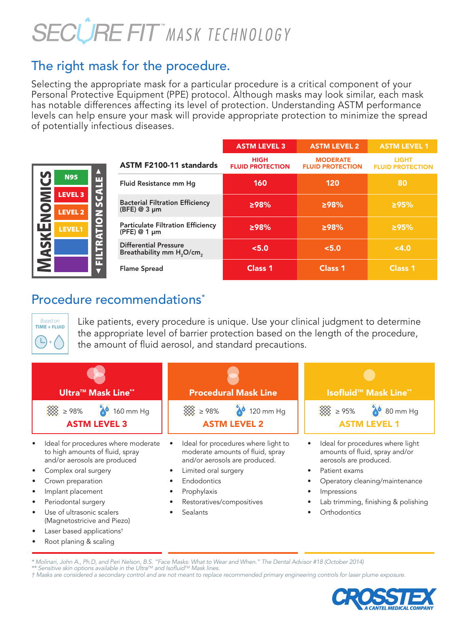# **SECÛRE FIT MASK TECHNOLOGY**

## The right mask for the procedure.

Selecting the appropriate mask for a particular procedure is a critical component of your Personal Protective Equipment (PPE) protocol. Although masks may look similar, each mask has notable differences affecting its level of protection. Understanding ASTM performance levels can help ensure your mask will provide appropriate protection to minimize the spread of potentially infectious diseases.

|                                  |                  |                                                                                   | <b>ASTM LEVEL 3</b>                    | <b>ASTM LEVEL 2</b>                        | <b>ASTM LEVEL 1</b>                     |
|----------------------------------|------------------|-----------------------------------------------------------------------------------|----------------------------------------|--------------------------------------------|-----------------------------------------|
|                                  | z                | ASTM F2100-11 standards                                                           | <b>HIGH</b><br><b>FLUID PROTECTION</b> | <b>MODERATE</b><br><b>FLUID PROTECTION</b> | <b>LIGHT</b><br><b>FLUID PROTECTION</b> |
| <b>N95</b>                       | <b>SCALE</b>     | Fluid Resistance mm Hq                                                            | 160                                    | 120                                        | 80                                      |
| <b>LEVEL 3</b><br><b>LEVEL 2</b> |                  | <b>Bacterial Filtration Efficiency</b><br>$(BFE) @ 3 \mu m$                       | 298%                                   | 298%                                       | 295%                                    |
| <b>LEVEL1</b>                    | <b>ILTRATION</b> | <b>Particulate Filtration Efficiency</b><br>$(PFE) @ 1 \mu m$                     | 298%                                   | >98%                                       | 295%                                    |
|                                  |                  | <b>Differential Pressure</b><br>Breathability mm H <sub>2</sub> O/cm <sub>2</sub> | < 5.0                                  | < 5.0                                      | 4.0                                     |
|                                  | ш                | <b>Flame Spread</b>                                                               | Class <sub>1</sub>                     | Class <sub>1</sub>                         | Class <sub>1</sub>                      |

#### Procedure recommendations<sup>\*</sup>



**M** $\blacktriangleleft$ **S** K**E**N

**M**<br>D

 $\boldsymbol{\mathsf{U}}$ **S** 

| <b>Based on</b><br><b>TIME + FLUID</b>                                                                                                                                                                                                                                                                                         | Like patients, every procedure is unique. Use your clinical judgment to determine<br>the appropriate level of barrier protection based on the length of the procedure,<br>the amount of fluid aerosol, and standard precautions. |                                                                                                                                                                                                                       |  |  |  |  |  |  |
|--------------------------------------------------------------------------------------------------------------------------------------------------------------------------------------------------------------------------------------------------------------------------------------------------------------------------------|----------------------------------------------------------------------------------------------------------------------------------------------------------------------------------------------------------------------------------|-----------------------------------------------------------------------------------------------------------------------------------------------------------------------------------------------------------------------|--|--|--|--|--|--|
| <b>Ultra™ Mask Line**</b>                                                                                                                                                                                                                                                                                                      | <b>Procedural Mask Line</b>                                                                                                                                                                                                      | Isofluid <sup>™</sup> Mask Line <sup>**</sup>                                                                                                                                                                         |  |  |  |  |  |  |
| 160 mm Hg<br>>98%<br><b>ASTM LEVEL 3</b>                                                                                                                                                                                                                                                                                       | >98%<br>120 mm Hq<br><b>ASTM LEVEL 2</b>                                                                                                                                                                                         | > 95%<br>80 mm Hq<br><b>ASTM LEVEL 1</b>                                                                                                                                                                              |  |  |  |  |  |  |
| Ideal for procedures where moderate<br>to high amounts of fluid, spray<br>and/or aerosols are produced<br>Complex oral surgery<br>Crown preparation<br>Implant placement<br>Periodontal surgery<br>Use of ultrasonic scalers<br>(Magnetostricive and Piezo)<br>Laser based applications <sup>†</sup><br>Root planing & scaling | Ideal for procedures where light to<br>$\bullet$<br>moderate amounts of fluid, spray<br>and/or aerosols are produced.<br>Limited oral surgery<br>Endodontics<br>Prophylaxis<br>Restoratives/compositives<br>Sealants             | Ideal for procedures where light<br>amounts of fluid, spray and/or<br>aerosols are produced.<br>Patient exams<br>Operatory cleaning/maintenance<br>Impressions<br>Lab trimming, finishing & polishing<br>Orthodontics |  |  |  |  |  |  |

\* Molinari, John A., Ph.D, and Peri Nelson, B.S. "Face Masks: What to Wear and When." The Dental Advisor #18 (October 2014)<br>\*\* Sensitive skin options available in the Ultra™ and Isofluid™ Mask lines. † Masks are considered a secondary control and are not meant to replace recommended primary engineering controls for laser plume exposure.